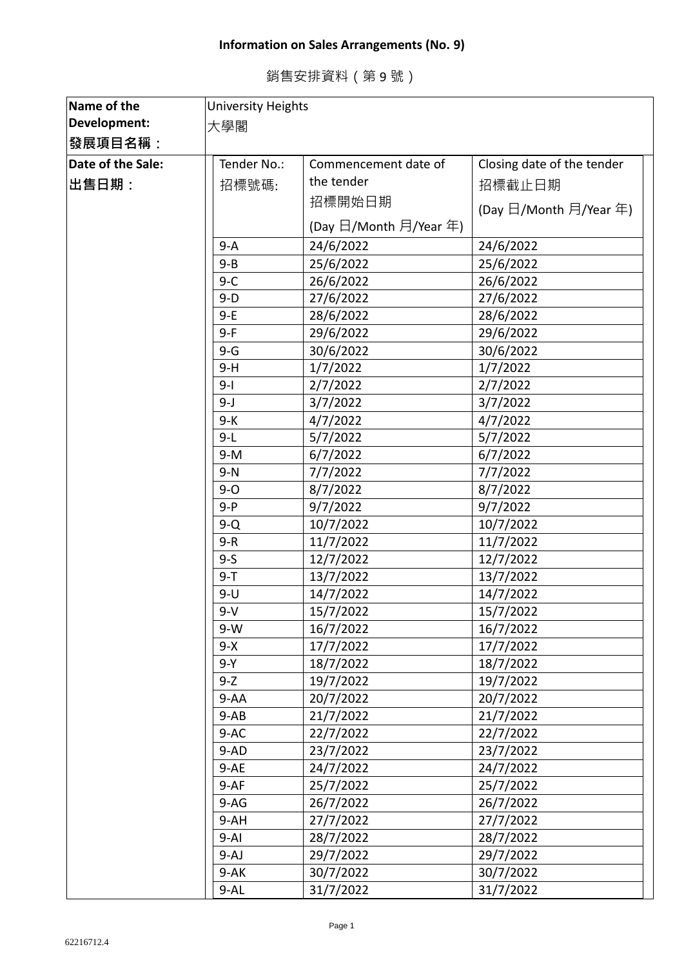## **Information on Sales Arrangements (No. 9)**

| 銷售安排資料(第9號) |  |
|-------------|--|
|             |  |

| Name of the       | <b>University Heights</b>           |                        |                            |  |
|-------------------|-------------------------------------|------------------------|----------------------------|--|
| Development:      | 大學閣                                 |                        |                            |  |
| 發展項目名稱:           |                                     |                        |                            |  |
| Date of the Sale: | Tender No.:<br>Commencement date of |                        | Closing date of the tender |  |
| ∣出售日期:            | 招標號碼:                               | the tender             | 招標截止日期                     |  |
|                   |                                     | 招標開始日期                 | (Day 日/Month 月/Year 年)     |  |
|                   |                                     | (Day 日/Month 月/Year 年) |                            |  |
|                   | $9 - A$                             | 24/6/2022              | 24/6/2022                  |  |
|                   | $9 - B$                             | 25/6/2022              | 25/6/2022                  |  |
|                   | $9 - C$                             | 26/6/2022              | 26/6/2022                  |  |
|                   | $9-D$                               | 27/6/2022              | 27/6/2022                  |  |
|                   | $9-E$                               | 28/6/2022              | 28/6/2022                  |  |
|                   | $9-F$                               | 29/6/2022              | 29/6/2022                  |  |
|                   | $9-G$                               | 30/6/2022              | 30/6/2022                  |  |
|                   | $9-H$                               | 1/7/2022               | 1/7/2022                   |  |
|                   | $9 - 1$                             | 2/7/2022               | 2/7/2022                   |  |
|                   | 9-J                                 | 3/7/2022               | 3/7/2022                   |  |
|                   | 9-K                                 | 4/7/2022               | 4/7/2022                   |  |
|                   | $9-L$                               | 5/7/2022               | 5/7/2022                   |  |
|                   | $9-M$                               | 6/7/2022               | 6/7/2022                   |  |
|                   | $9-N$                               | 7/7/2022               | 7/7/2022                   |  |
|                   | $9 - 0$                             | 8/7/2022               | 8/7/2022                   |  |
|                   | $9 - P$                             | 9/7/2022               | 9/7/2022                   |  |
|                   | $9-Q$                               | 10/7/2022              | 10/7/2022                  |  |
|                   | $9-R$                               | 11/7/2022              | 11/7/2022                  |  |
|                   | $9-5$                               | 12/7/2022              | 12/7/2022                  |  |
|                   | $9 - T$                             | 13/7/2022              | 13/7/2022                  |  |
|                   | $9-U$                               | 14/7/2022              | 14/7/2022                  |  |
|                   | $9-V$                               | 15/7/2022              | 15/7/2022                  |  |
|                   | $9-W$                               | 16/7/2022              | 16/7/2022                  |  |
|                   | $9-X$                               | 17/7/2022              | 17/7/2022                  |  |
|                   | 9-Y                                 | 18/7/2022              | 18/7/2022                  |  |
|                   | $9-Z$                               | 19/7/2022              | 19/7/2022                  |  |
|                   | $9 - AA$                            | 20/7/2022              | 20/7/2022                  |  |
|                   | $9-AB$                              | 21/7/2022              | 21/7/2022                  |  |
|                   | $9-AC$                              | 22/7/2022              | 22/7/2022                  |  |
|                   | $9-AD$                              | 23/7/2022              | 23/7/2022                  |  |
|                   | $9-AE$                              | 24/7/2022              | 24/7/2022                  |  |
|                   | $9-AF$                              | 25/7/2022              | 25/7/2022                  |  |
|                   | $9-AG$                              | 26/7/2022              | 26/7/2022                  |  |
|                   | $9 - AH$                            | 27/7/2022              | 27/7/2022                  |  |
|                   | $9 - AI$                            | 28/7/2022              | 28/7/2022                  |  |
|                   | $9-AJ$                              | 29/7/2022              | 29/7/2022                  |  |
|                   | 9-AK                                | 30/7/2022              | 30/7/2022                  |  |
|                   | $9 - AL$                            | 31/7/2022              | 31/7/2022                  |  |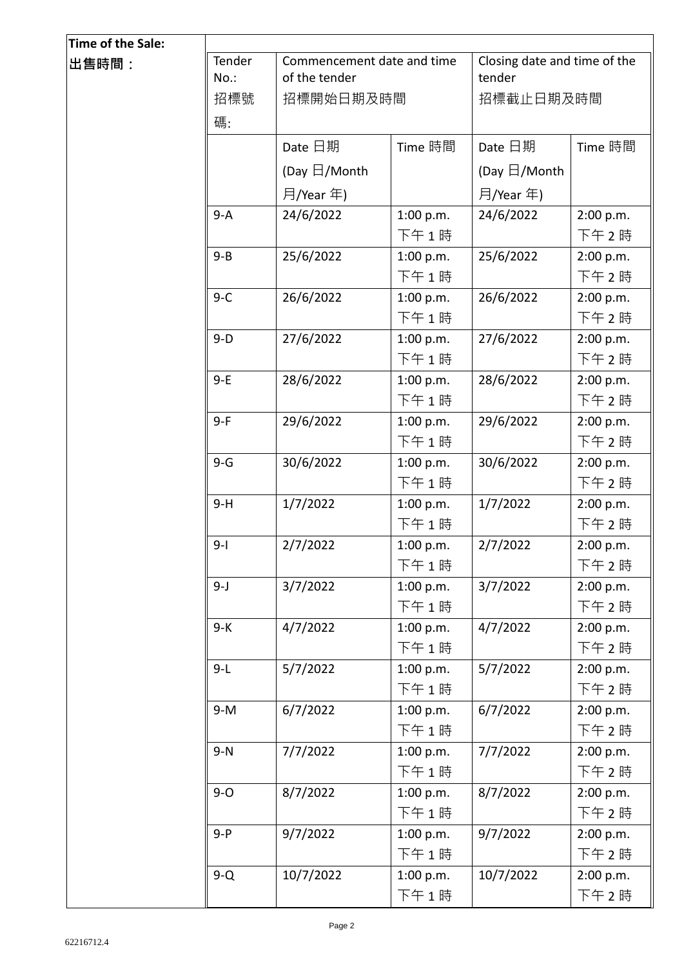| Time of the Sale: |                |                                             |           |                                        |           |
|-------------------|----------------|---------------------------------------------|-----------|----------------------------------------|-----------|
| ∣出售時間:            | Tender<br>No.: | Commencement date and time<br>of the tender |           | Closing date and time of the<br>tender |           |
|                   | 招標號            | 招標開始日期及時間                                   |           | 招標截止日期及時間                              |           |
|                   | 碼:             |                                             |           |                                        |           |
|                   |                | Date 日期                                     | Time 時間   | Date 日期                                | Time 時間   |
|                   |                | (Day $\boxdot$ /Month                       |           | (Day $\boxdot$ /Month                  |           |
|                   |                | 月/Year 年)                                   |           | 月/Year 年)                              |           |
|                   | $9-A$          | 24/6/2022                                   | 1:00 p.m. | 24/6/2022                              | 2:00 p.m. |
|                   |                |                                             | 下午1時      |                                        | 下午 2時     |
|                   | $9 - B$        | 25/6/2022                                   | 1:00 p.m. | 25/6/2022                              | 2:00 p.m. |
|                   |                |                                             | 下午1時      |                                        | 下午 2時     |
|                   | $9-C$          | 26/6/2022                                   | 1:00 p.m. | 26/6/2022                              | 2:00 p.m. |
|                   |                |                                             | 下午1時      |                                        | 下午 2時     |
|                   | $9-D$          | 27/6/2022                                   | 1:00 p.m. | 27/6/2022                              | 2:00 p.m. |
|                   |                |                                             | 下午1時      |                                        | 下午 2時     |
|                   | $9-E$          | 28/6/2022                                   | 1:00 p.m. | 28/6/2022                              | 2:00 p.m. |
|                   |                |                                             | 下午1時      |                                        | 下午2時      |
|                   | $9-F$          | 29/6/2022                                   | 1:00 p.m. | 29/6/2022                              | 2:00 p.m. |
|                   |                |                                             | 下午1時      |                                        | 下午 2時     |
|                   | $9-G$          | 30/6/2022                                   | 1:00 p.m. | 30/6/2022                              | 2:00 p.m. |
|                   |                |                                             | 下午1時      |                                        | 下午 2時     |
|                   | $9-H$          | 1/7/2022                                    | 1:00 p.m. | 1/7/2022                               | 2:00 p.m. |
|                   |                |                                             | 下午1時      |                                        | 下午 2時     |
|                   | $9 - 1$        | 2/7/2022                                    | 1:00 p.m. | 2/7/2022                               | 2:00 p.m. |
|                   |                |                                             | 下午1時      |                                        | 下午 2時     |
|                   | $9 - J$        | 3/7/2022                                    | 1:00 p.m. | 3/7/2022                               | 2:00 p.m. |
|                   |                |                                             | 下午1時      |                                        | 下午 2時     |
|                   | $9-K$          | 4/7/2022                                    | 1:00 p.m. | 4/7/2022                               | 2:00 p.m. |
|                   |                |                                             | 下午1時      |                                        | 下午 2時     |
|                   | $9-L$          | 5/7/2022                                    | 1:00 p.m. | 5/7/2022                               | 2:00 p.m. |
|                   |                |                                             | 下午1時      |                                        | 下午 2時     |
|                   | $9-M$          | 6/7/2022                                    | 1:00 p.m. | 6/7/2022                               | 2:00 p.m. |
|                   |                |                                             | 下午1時      |                                        | 下午 2時     |
|                   | $9-N$          | 7/7/2022                                    | 1:00 p.m. | 7/7/2022                               | 2:00 p.m. |
|                   |                |                                             | 下午1時      |                                        | 下午 2時     |
|                   | $9 - O$        | 8/7/2022                                    | 1:00 p.m. | 8/7/2022                               | 2:00 p.m. |
|                   |                |                                             | 下午1時      |                                        | 下午 2時     |
|                   | $9 - P$        | 9/7/2022                                    | 1:00 p.m. | 9/7/2022                               | 2:00 p.m. |
|                   |                |                                             | 下午1時      |                                        | 下午 2時     |
|                   | $9-Q$          | 10/7/2022                                   | 1:00 p.m. | 10/7/2022                              | 2:00 p.m. |
|                   |                |                                             | 下午1時      |                                        | 下午 2 時    |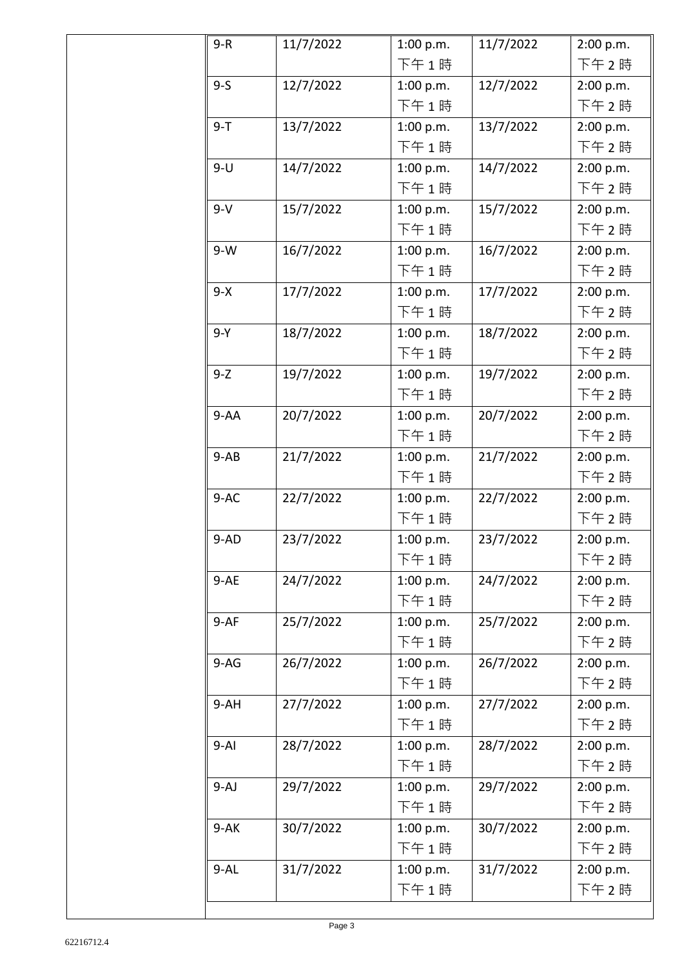| $9-R$    | 11/7/2022 | 1:00 p.m. | 11/7/2022 | 2:00 p.m. |  |
|----------|-----------|-----------|-----------|-----------|--|
|          |           | 下午1時      |           | 下午2時      |  |
| $9 - S$  | 12/7/2022 | 1:00 p.m. | 12/7/2022 | 2:00 p.m. |  |
|          |           | 下午1時      |           | 下午2時      |  |
| $9 - T$  | 13/7/2022 | 1:00 p.m. | 13/7/2022 | 2:00 p.m. |  |
|          |           | 下午1時      |           | 下午2時      |  |
| $9-U$    | 14/7/2022 | 1:00 p.m. | 14/7/2022 | 2:00 p.m. |  |
|          |           | 下午1時      |           | 下午2時      |  |
| $9-V$    | 15/7/2022 | 1:00 p.m. | 15/7/2022 | 2:00 p.m. |  |
|          |           | 下午1時      |           | 下午2時      |  |
| $9-W$    | 16/7/2022 | 1:00 p.m. | 16/7/2022 | 2:00 p.m. |  |
|          |           | 下午1時      |           | 下午 2時     |  |
| $9-X$    | 17/7/2022 | 1:00 p.m. | 17/7/2022 | 2:00 p.m. |  |
|          |           | 下午1時      |           | 下午 2時     |  |
| $9-Y$    | 18/7/2022 | 1:00 p.m. | 18/7/2022 | 2:00 p.m. |  |
|          |           | 下午1時      |           | 下午 2時     |  |
| $9-Z$    | 19/7/2022 | 1:00 p.m. | 19/7/2022 | 2:00 p.m. |  |
|          |           | 下午1時      |           | 下午 2時     |  |
| $9-AA$   | 20/7/2022 | 1:00 p.m. | 20/7/2022 | 2:00 p.m. |  |
|          |           | 下午1時      |           | 下午 2時     |  |
| $9-AB$   | 21/7/2022 | 1:00 p.m. | 21/7/2022 | 2:00 p.m. |  |
|          |           | 下午1時      |           | 下午 2時     |  |
| $9-AC$   | 22/7/2022 | 1:00 p.m. | 22/7/2022 | 2:00 p.m. |  |
|          |           | 下午1時      |           | 下午2時      |  |
| $9-AD$   | 23/7/2022 | 1:00 p.m. | 23/7/2022 | 2:00 p.m. |  |
|          |           | 下午1時      |           | 下午 2時     |  |
| $9-AE$   | 24/7/2022 | 1:00 p.m. | 24/7/2022 | 2:00 p.m. |  |
|          |           | 下午1時      |           | 下午 2時     |  |
| $9-AF$   | 25/7/2022 | 1:00 p.m. | 25/7/2022 | 2:00 p.m. |  |
|          |           | 下午1時      |           | 下午 2時     |  |
| $9-AG$   | 26/7/2022 | 1:00 p.m. | 26/7/2022 | 2:00 p.m. |  |
|          |           | 下午1時      |           | 下午 2時     |  |
| $9-AH$   | 27/7/2022 | 1:00 p.m. | 27/7/2022 | 2:00 p.m. |  |
|          |           | 下午1時      |           | 下午 2時     |  |
| $9 - AI$ | 28/7/2022 | 1:00 p.m. | 28/7/2022 | 2:00 p.m. |  |
|          |           | 下午1時      |           | 下午 2時     |  |
| $9-AJ$   | 29/7/2022 | 1:00 p.m. | 29/7/2022 | 2:00 p.m. |  |
|          |           | 下午1時      |           | 下午2時      |  |
| $9 - AK$ | 30/7/2022 | 1:00 p.m. | 30/7/2022 | 2:00 p.m. |  |
|          |           | 下午1時      |           | 下午 2時     |  |
| $9 - AL$ | 31/7/2022 | 1:00 p.m. | 31/7/2022 | 2:00 p.m. |  |
|          |           | 下午1時      |           | 下午2時      |  |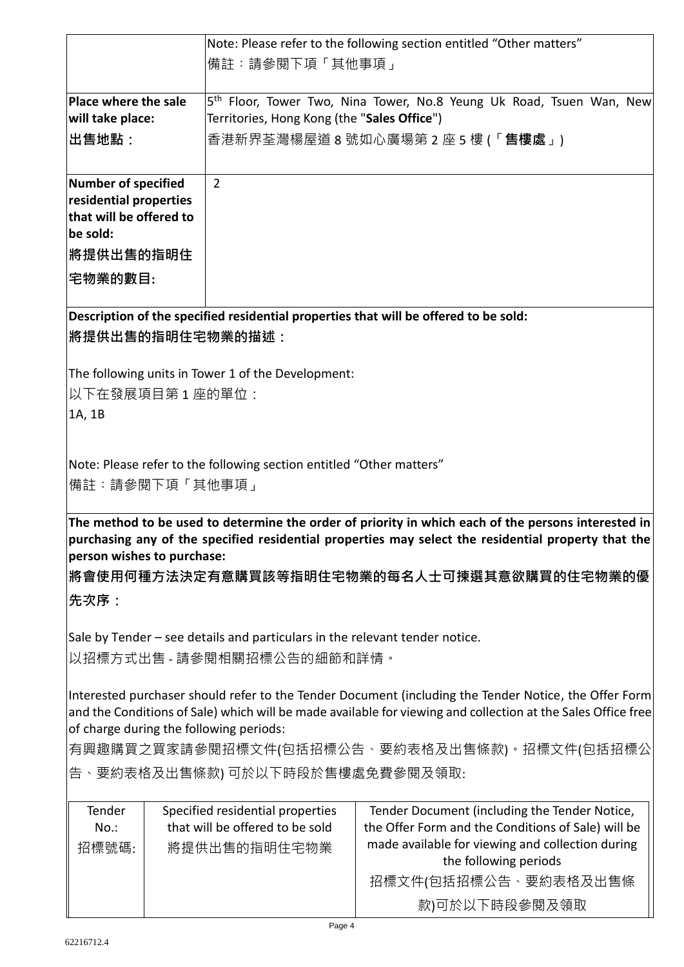|                                                                                                                                                         |  | Note: Please refer to the following section entitled "Other matters"        |                                                                                                     |  |  |  |
|---------------------------------------------------------------------------------------------------------------------------------------------------------|--|-----------------------------------------------------------------------------|-----------------------------------------------------------------------------------------------------|--|--|--|
|                                                                                                                                                         |  | 備註:請參閱下項「其他事項」                                                              |                                                                                                     |  |  |  |
|                                                                                                                                                         |  |                                                                             |                                                                                                     |  |  |  |
| Place where the sale                                                                                                                                    |  |                                                                             | 5 <sup>th</sup> Floor, Tower Two, Nina Tower, No.8 Yeung Uk Road, Tsuen Wan, New                    |  |  |  |
| will take place:                                                                                                                                        |  | Territories, Hong Kong (the "Sales Office")                                 |                                                                                                     |  |  |  |
| 出售地點:                                                                                                                                                   |  | 香港新界荃灣楊屋道 8 號如心廣場第 2 座 5 樓 (「 <b>售樓處</b> 」)                                 |                                                                                                     |  |  |  |
|                                                                                                                                                         |  |                                                                             |                                                                                                     |  |  |  |
| Number of specified                                                                                                                                     |  | $\overline{2}$                                                              |                                                                                                     |  |  |  |
| residential properties                                                                                                                                  |  |                                                                             |                                                                                                     |  |  |  |
| that will be offered to<br>be sold:                                                                                                                     |  |                                                                             |                                                                                                     |  |  |  |
| <b> 將提供出售的指明住</b>                                                                                                                                       |  |                                                                             |                                                                                                     |  |  |  |
|                                                                                                                                                         |  |                                                                             |                                                                                                     |  |  |  |
| 宅物業的數目:                                                                                                                                                 |  |                                                                             |                                                                                                     |  |  |  |
|                                                                                                                                                         |  |                                                                             | Description of the specified residential properties that will be offered to be sold:                |  |  |  |
|                                                                                                                                                         |  | <b> 將提供出售的指明住宅物業的描述:</b>                                                    |                                                                                                     |  |  |  |
|                                                                                                                                                         |  |                                                                             |                                                                                                     |  |  |  |
|                                                                                                                                                         |  | The following units in Tower 1 of the Development:                          |                                                                                                     |  |  |  |
| 以下在發展項目第1座的單位:                                                                                                                                          |  |                                                                             |                                                                                                     |  |  |  |
| 1A, 1B                                                                                                                                                  |  |                                                                             |                                                                                                     |  |  |  |
|                                                                                                                                                         |  |                                                                             |                                                                                                     |  |  |  |
|                                                                                                                                                         |  |                                                                             |                                                                                                     |  |  |  |
|                                                                                                                                                         |  | Note: Please refer to the following section entitled "Other matters"        |                                                                                                     |  |  |  |
| 備註:請參閱下項「其他事項」                                                                                                                                          |  |                                                                             |                                                                                                     |  |  |  |
|                                                                                                                                                         |  |                                                                             | The method to be used to determine the order of priority in which each of the persons interested in |  |  |  |
|                                                                                                                                                         |  |                                                                             | purchasing any of the specified residential properties may select the residential property that the |  |  |  |
| person wishes to purchase:                                                                                                                              |  |                                                                             |                                                                                                     |  |  |  |
|                                                                                                                                                         |  |                                                                             | 將會使用何種方法決定有意購買該等指明住宅物業的每名人士可揀選其意欲購買的住宅物業的優                                                          |  |  |  |
| 先次序:                                                                                                                                                    |  |                                                                             |                                                                                                     |  |  |  |
|                                                                                                                                                         |  |                                                                             |                                                                                                     |  |  |  |
|                                                                                                                                                         |  | Sale by Tender – see details and particulars in the relevant tender notice. |                                                                                                     |  |  |  |
|                                                                                                                                                         |  | 以招標方式出售 - 請參閱相關招標公告的細節和詳情。                                                  |                                                                                                     |  |  |  |
|                                                                                                                                                         |  |                                                                             |                                                                                                     |  |  |  |
| Interested purchaser should refer to the Tender Document (including the Tender Notice, the Offer Form                                                   |  |                                                                             |                                                                                                     |  |  |  |
| and the Conditions of Sale) which will be made available for viewing and collection at the Sales Office free<br>of charge during the following periods: |  |                                                                             |                                                                                                     |  |  |  |
| 有興趣購買之買家請參閱招標文件(包括招標公告、要約表格及出售條款)。招標文件(包括招標公                                                                                                            |  |                                                                             |                                                                                                     |  |  |  |
|                                                                                                                                                         |  |                                                                             |                                                                                                     |  |  |  |
| 告、要約表格及出售條款) 可於以下時段於售樓處免費參閱及領取:                                                                                                                         |  |                                                                             |                                                                                                     |  |  |  |
| Tender                                                                                                                                                  |  | Specified residential properties                                            | Tender Document (including the Tender Notice,                                                       |  |  |  |
| $No.$ :                                                                                                                                                 |  | that will be offered to be sold                                             | the Offer Form and the Conditions of Sale) will be                                                  |  |  |  |
| 招標號碼:                                                                                                                                                   |  | 將提供出售的指明住宅物業                                                                | made available for viewing and collection during                                                    |  |  |  |
|                                                                                                                                                         |  |                                                                             | the following periods                                                                               |  |  |  |
|                                                                                                                                                         |  |                                                                             | 招標文件(包括招標公告、要約表格及出售條                                                                                |  |  |  |
|                                                                                                                                                         |  |                                                                             | 款)可於以下時段參閱及領取                                                                                       |  |  |  |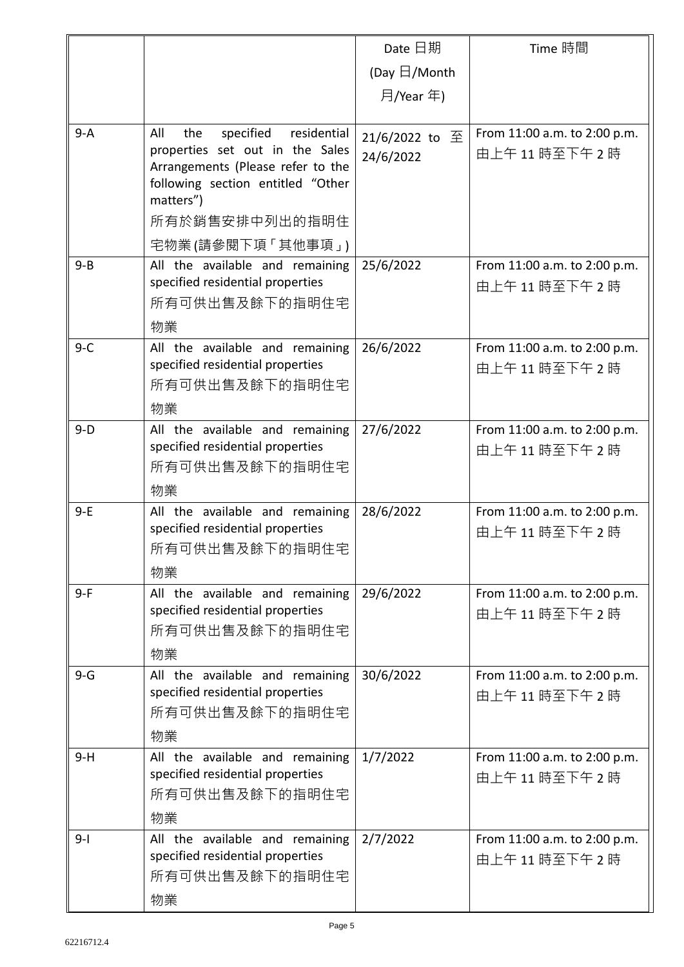|         |                                                                                                                                                                                                        | Date 日期                     | Time 時間                                     |
|---------|--------------------------------------------------------------------------------------------------------------------------------------------------------------------------------------------------------|-----------------------------|---------------------------------------------|
|         |                                                                                                                                                                                                        | (Day $\boxdot$ /Month       |                                             |
|         |                                                                                                                                                                                                        | 月/Year 年)                   |                                             |
| $9 - A$ | All<br>specified<br>residential<br>the<br>properties set out in the Sales<br>Arrangements (Please refer to the<br>following section entitled "Other<br>matters")<br>所有於銷售安排中列出的指明住<br>宅物業(請參閱下項「其他事項」) | 21/6/2022 to 至<br>24/6/2022 | From 11:00 a.m. to 2:00 p.m.<br>由上午11時至下午2時 |
| $9 - B$ | All the available and remaining<br>specified residential properties<br>所有可供出售及餘下的指明住宅<br>物業                                                                                                            | 25/6/2022                   | From 11:00 a.m. to 2:00 p.m.<br>由上午11時至下午2時 |
| $9 - C$ | All the available and remaining<br>specified residential properties<br>所有可供出售及餘下的指明住宅<br>物業                                                                                                            | 26/6/2022                   | From 11:00 a.m. to 2:00 p.m.<br>由上午11時至下午2時 |
| $9-D$   | All the available and remaining<br>specified residential properties<br>所有可供出售及餘下的指明住宅<br>物業                                                                                                            | 27/6/2022                   | From 11:00 a.m. to 2:00 p.m.<br>由上午11時至下午2時 |
| $9-E$   | All the available and remaining<br>specified residential properties<br>所有可供出售及餘下的指明住宅<br>物業                                                                                                            | 28/6/2022                   | From 11:00 a.m. to 2:00 p.m.<br>由上午11時至下午2時 |
| $9-F$   | All the available and remaining<br>specified residential properties<br>所有可供出售及餘下的指明住宅<br>物業                                                                                                            | 29/6/2022                   | From 11:00 a.m. to 2:00 p.m.<br>由上午11時至下午2時 |
| $9-G$   | All the available and remaining<br>specified residential properties<br>所有可供出售及餘下的指明住宅<br>物業                                                                                                            | 30/6/2022                   | From 11:00 a.m. to 2:00 p.m.<br>由上午11時至下午2時 |
| $9-H$   | All the available and remaining<br>specified residential properties<br>所有可供出售及餘下的指明住宅<br>物業                                                                                                            | 1/7/2022                    | From 11:00 a.m. to 2:00 p.m.<br>由上午11時至下午2時 |
| $9 - 1$ | All the available and remaining<br>specified residential properties<br>所有可供出售及餘下的指明住宅<br>物業                                                                                                            | 2/7/2022                    | From 11:00 a.m. to 2:00 p.m.<br>由上午11時至下午2時 |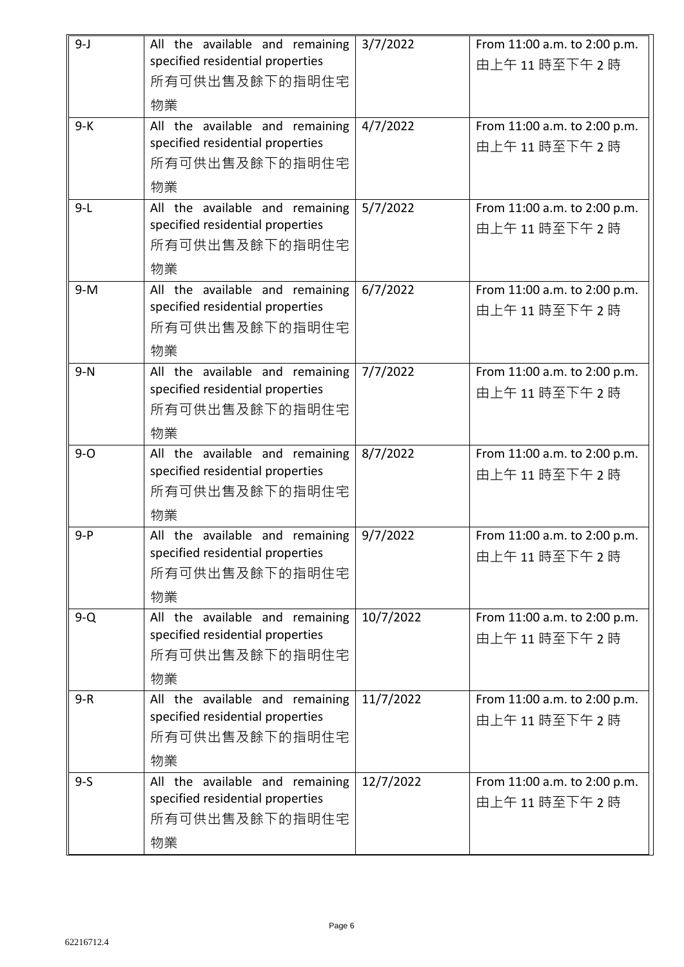| $9 - J$ | All the available and remaining<br>specified residential properties<br>所有可供出售及餘下的指明住宅<br>物業 | 3/7/2022  | From 11:00 a.m. to 2:00 p.m.<br>由上午11時至下午2時 |
|---------|---------------------------------------------------------------------------------------------|-----------|---------------------------------------------|
| $9-K$   | All the available and remaining<br>specified residential properties<br>所有可供出售及餘下的指明住宅<br>物業 | 4/7/2022  | From 11:00 a.m. to 2:00 p.m.<br>由上午11時至下午2時 |
| $9-L$   | All the available and remaining<br>specified residential properties<br>所有可供出售及餘下的指明住宅<br>物業 | 5/7/2022  | From 11:00 a.m. to 2:00 p.m.<br>由上午11時至下午2時 |
| $9-M$   | All the available and remaining<br>specified residential properties<br>所有可供出售及餘下的指明住宅<br>物業 | 6/7/2022  | From 11:00 a.m. to 2:00 p.m.<br>由上午11時至下午2時 |
| $9-N$   | All the available and remaining<br>specified residential properties<br>所有可供出售及餘下的指明住宅<br>物業 | 7/7/2022  | From 11:00 a.m. to 2:00 p.m.<br>由上午11時至下午2時 |
| $9 - O$ | All the available and remaining<br>specified residential properties<br>所有可供出售及餘下的指明住宅<br>物業 | 8/7/2022  | From 11:00 a.m. to 2:00 p.m.<br>由上午11時至下午2時 |
| $9 - P$ | All the available and remaining<br>specified residential properties<br>所有可供出售及餘下的指明住宅<br>物業 | 9/7/2022  | From 11:00 a.m. to 2:00 p.m.<br>由上午11時至下午2時 |
| $9-Q$   | All the available and remaining<br>specified residential properties<br>所有可供出售及餘下的指明住宅<br>物業 | 10/7/2022 | From 11:00 a.m. to 2:00 p.m.<br>由上午11時至下午2時 |
| $9-R$   | All the available and remaining<br>specified residential properties<br>所有可供出售及餘下的指明住宅<br>物業 | 11/7/2022 | From 11:00 a.m. to 2:00 p.m.<br>由上午11時至下午2時 |
| $9 - S$ | All the available and remaining<br>specified residential properties<br>所有可供出售及餘下的指明住宅<br>物業 | 12/7/2022 | From 11:00 a.m. to 2:00 p.m.<br>由上午11時至下午2時 |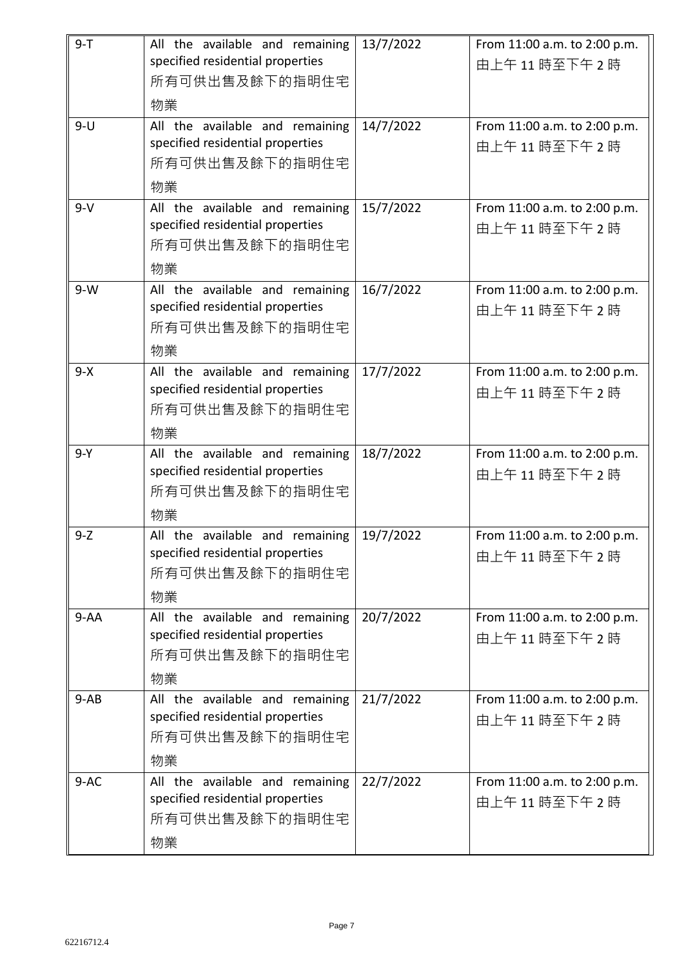| $9 - T$  | All the available and remaining                                     | 13/7/2022 | From 11:00 a.m. to 2:00 p.m. |
|----------|---------------------------------------------------------------------|-----------|------------------------------|
|          | specified residential properties<br>所有可供出售及餘下的指明住宅                  |           | 由上午11時至下午2時                  |
|          | 物業                                                                  |           |                              |
| $9-U$    | All the available and remaining                                     | 14/7/2022 | From 11:00 a.m. to 2:00 p.m. |
|          | specified residential properties                                    |           | 由上午11時至下午2時                  |
|          | 所有可供出售及餘下的指明住宅                                                      |           |                              |
|          | 物業                                                                  |           |                              |
| $9-V$    | All the available and remaining<br>specified residential properties | 15/7/2022 | From 11:00 a.m. to 2:00 p.m. |
|          | 所有可供出售及餘下的指明住宅                                                      |           | 由上午11時至下午2時                  |
|          | 物業                                                                  |           |                              |
| $9-W$    | All the available and remaining                                     | 16/7/2022 | From 11:00 a.m. to 2:00 p.m. |
|          | specified residential properties                                    |           | 由上午11時至下午2時                  |
|          | 所有可供出售及餘下的指明住宅                                                      |           |                              |
|          | 物業                                                                  |           |                              |
| $9 - X$  | All the available and remaining<br>specified residential properties | 17/7/2022 | From 11:00 a.m. to 2:00 p.m. |
|          | 所有可供出售及餘下的指明住宅                                                      |           | 由上午11時至下午2時                  |
|          | 物業                                                                  |           |                              |
| $9-Y$    | All the available and remaining                                     | 18/7/2022 | From 11:00 a.m. to 2:00 p.m. |
|          | specified residential properties                                    |           | 由上午11時至下午2時                  |
|          | 所有可供出售及餘下的指明住宅                                                      |           |                              |
|          | 物業                                                                  |           |                              |
| $9-Z$    | All the available and remaining<br>specified residential properties | 19/7/2022 | From 11:00 a.m. to 2:00 p.m. |
|          | 所有可供出售及餘下的指明住宅                                                      |           | 由上午11時至下午2時                  |
|          | 物業                                                                  |           |                              |
| $9 - AA$ | All the available and remaining                                     | 20/7/2022 | From 11:00 a.m. to 2:00 p.m. |
|          | specified residential properties                                    |           | 由上午11時至下午2時                  |
|          | 所有可供出售及餘下的指明住宅                                                      |           |                              |
|          | 物業                                                                  |           |                              |
| $9-AB$   | All the available and remaining<br>specified residential properties | 21/7/2022 | From 11:00 a.m. to 2:00 p.m. |
|          | 所有可供出售及餘下的指明住宅                                                      |           | 由上午11時至下午2時                  |
|          | 物業                                                                  |           |                              |
| $9-AC$   | All the available and remaining                                     | 22/7/2022 | From 11:00 a.m. to 2:00 p.m. |
|          | specified residential properties                                    |           | 由上午11時至下午2時                  |
|          | 所有可供出售及餘下的指明住宅                                                      |           |                              |
|          | 物業                                                                  |           |                              |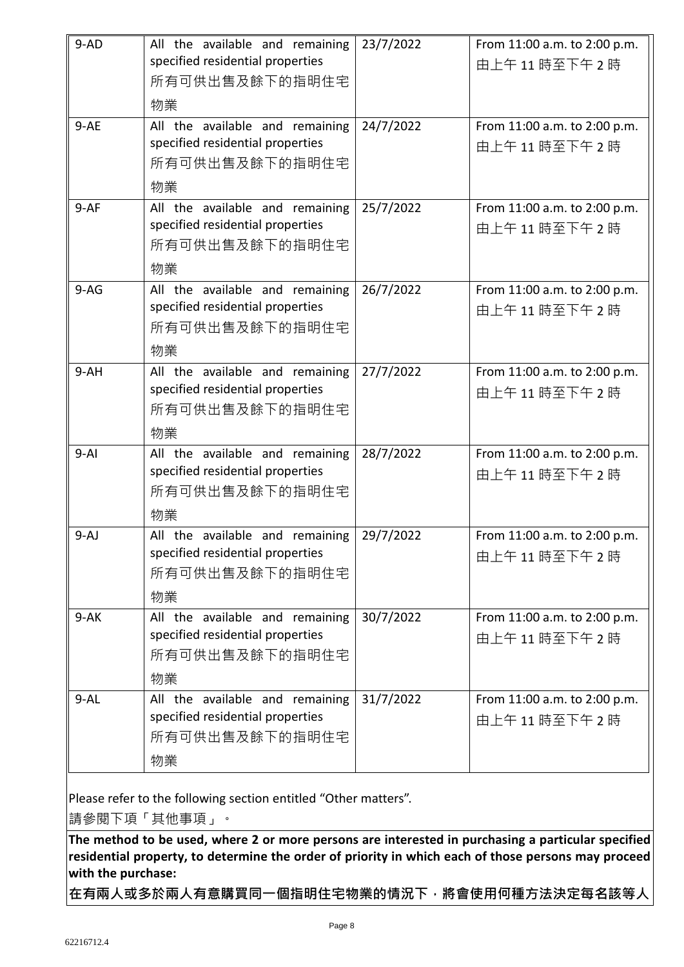| $9-AD$<br>$9-AE$ | All the available and remaining<br>specified residential properties<br>所有可供出售及餘下的指明住宅<br>物業<br>All the available and remaining<br>specified residential properties<br>所有可供出售及餘下的指明住宅<br>物業 | 23/7/2022<br>24/7/2022 | From 11:00 a.m. to 2:00 p.m.<br>由上午11時至下午2時<br>From 11:00 a.m. to 2:00 p.m.<br>由上午11時至下午2時 |
|------------------|--------------------------------------------------------------------------------------------------------------------------------------------------------------------------------------------|------------------------|--------------------------------------------------------------------------------------------|
| $9-AF$           | All the available and remaining<br>specified residential properties<br>所有可供出售及餘下的指明住宅<br>物業                                                                                                | 25/7/2022              | From 11:00 a.m. to 2:00 p.m.<br>由上午11時至下午2時                                                |
| $9-AG$           | All the available and remaining<br>specified residential properties<br>所有可供出售及餘下的指明住宅<br>物業                                                                                                | 26/7/2022              | From 11:00 a.m. to 2:00 p.m.<br>由上午11時至下午2時                                                |
| $9-AH$           | All the available and remaining<br>specified residential properties<br>所有可供出售及餘下的指明住宅<br>物業                                                                                                | 27/7/2022              | From 11:00 a.m. to 2:00 p.m.<br>由上午11時至下午2時                                                |
| $9 - AI$         | All the available and remaining<br>specified residential properties<br>所有可供出售及餘下的指明住宅<br>物業                                                                                                | 28/7/2022              | From 11:00 a.m. to 2:00 p.m.<br>由上午11時至下午2時                                                |
| $9-AJ$           | All the available and remaining<br>specified residential properties<br>所有可供出售及餘下的指明住宅<br>物業                                                                                                | 29/7/2022              | From 11:00 a.m. to 2:00 p.m.<br>由上午11時至下午2時                                                |
| $9 - AK$         | All the available and remaining<br>specified residential properties<br>所有可供出售及餘下的指明住宅<br>物業                                                                                                | 30/7/2022              | From 11:00 a.m. to 2:00 p.m.<br>由上午11時至下午2時                                                |
| $9 - AL$         | All the available and remaining<br>specified residential properties<br>所有可供出售及餘下的指明住宅<br>物業                                                                                                | 31/7/2022              | From 11:00 a.m. to 2:00 p.m.<br>由上午11時至下午2時                                                |

Please refer to the following section entitled "Other matters".

請參閱下項「其他事項」。

**The method to be used, where 2 or more persons are interested in purchasing a particular specified residential property, to determine the order of priority in which each of those persons may proceed with the purchase:**

**在有兩人或多於兩人有意購買同一個指明住宅物業的情況下,將會使用何種方法決定每名該等人**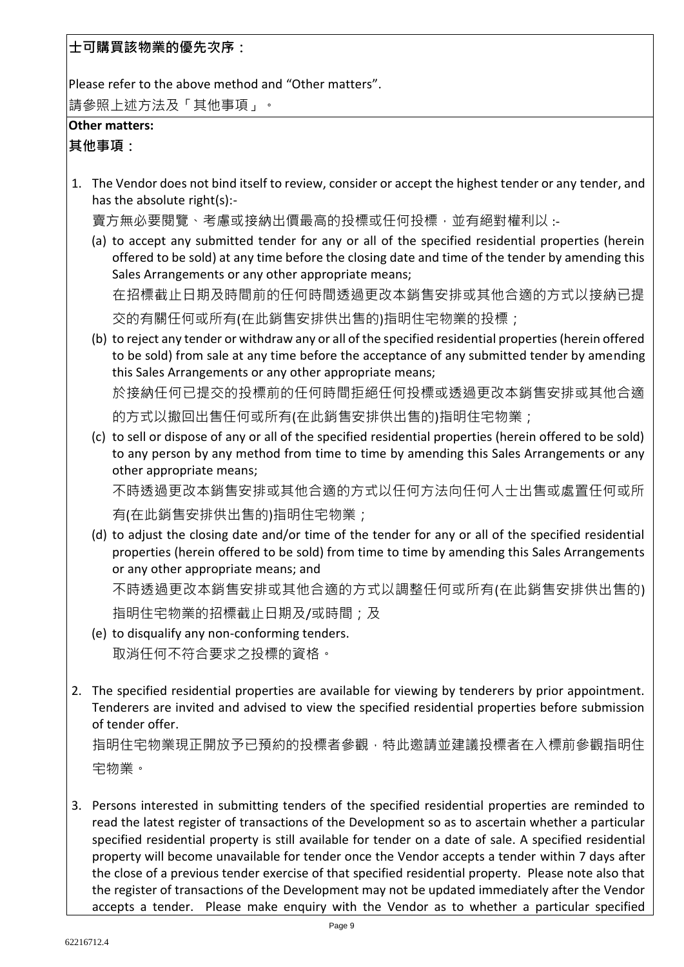**士可購買該物業的優先次序:**

Please refer to the above method and "Other matters".

請參照上述方法及「其他事項」。

## **Other matters:**

**其他事項:**

1. The Vendor does not bind itself to review, consider or accept the highest tender or any tender, and has the absolute right(s):-

賣方無必要閱覽、考慮或接納出價最高的投標或任何投標,並有絕對權利以:-

(a) to accept any submitted tender for any or all of the specified residential properties (herein offered to be sold) at any time before the closing date and time of the tender by amending this Sales Arrangements or any other appropriate means;

在招標截止日期及時間前的任何時間透過更改本銷售安排或其他合適的方式以接納已提

交的有關任何或所有(在此銷售安排供出售的)指明住宅物業的投標;

(b) to reject any tender or withdraw any or all of the specified residential properties (herein offered to be sold) from sale at any time before the acceptance of any submitted tender by amending this Sales Arrangements or any other appropriate means;

於接納任何已提交的投標前的任何時間拒絕任何投標或透過更改本銷售安排或其他合適

的方式以撤回出售任何或所有(在此銷售安排供出售的)指明住宅物業;

(c) to sell or dispose of any or all of the specified residential properties (herein offered to be sold) to any person by any method from time to time by amending this Sales Arrangements or any other appropriate means;

不時透過更改本銷售安排或其他合適的方式以任何方法向任何人士出售或處置任何或所

有(在此銷售安排供出售的)指明住宅物業;

(d) to adjust the closing date and/or time of the tender for any or all of the specified residential properties (herein offered to be sold) from time to time by amending this Sales Arrangements or any other appropriate means; and 不時透過更改本銷售安排或其他合適的方式以調整任何或所有(在此銷售安排供出售的)

指明住宅物業的招標截止日期及/或時間;及

- (e) to disqualify any non-conforming tenders. 取消任何不符合要求之投標的資格。
- 2. The specified residential properties are available for viewing by tenderers by prior appointment. Tenderers are invited and advised to view the specified residential properties before submission of tender offer.

指明住宅物業現正開放予已預約的投標者參觀,特此邀請並建議投標者在入標前參觀指明住 宅物業。

3. Persons interested in submitting tenders of the specified residential properties are reminded to read the latest register of transactions of the Development so as to ascertain whether a particular specified residential property is still available for tender on a date of sale. A specified residential property will become unavailable for tender once the Vendor accepts a tender within 7 days after the close of a previous tender exercise of that specified residential property. Please note also that the register of transactions of the Development may not be updated immediately after the Vendor accepts a tender. Please make enquiry with the Vendor as to whether a particular specified